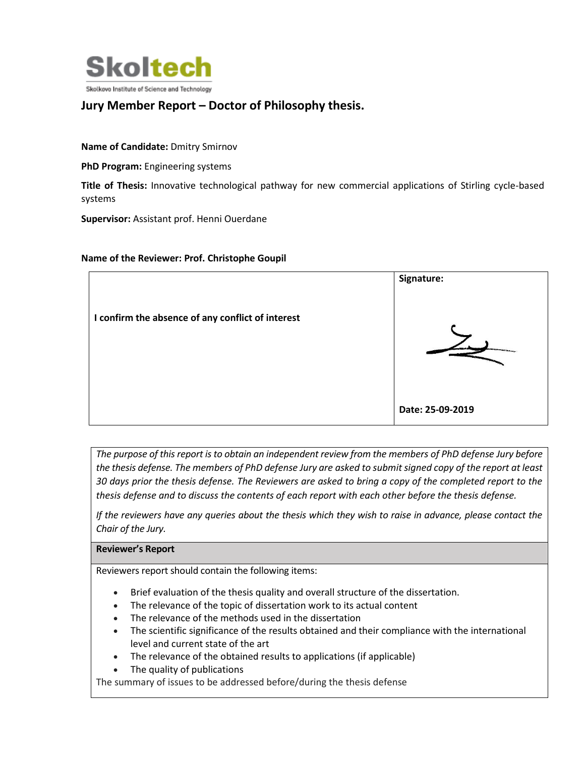

# **Jury Member Report – Doctor of Philosophy thesis.**

**Name of Candidate:** Dmitry Smirnov

**PhD Program:** Engineering systems

**Title of Thesis:** Innovative technological pathway for new commercial applications of Stirling cycle-based systems

**Supervisor:** Assistant prof. Henni Ouerdane

### **Name of the Reviewer: Prof. Christophe Goupil**



*The purpose of this report is to obtain an independent review from the members of PhD defense Jury before the thesis defense. The members of PhD defense Jury are asked to submit signed copy of the report at least 30 days prior the thesis defense. The Reviewers are asked to bring a copy of the completed report to the thesis defense and to discuss the contents of each report with each other before the thesis defense.* 

*If the reviewers have any queries about the thesis which they wish to raise in advance, please contact the Chair of the Jury.*

### **Reviewer's Report**

Reviewers report should contain the following items:

- Brief evaluation of the thesis quality and overall structure of the dissertation.
- The relevance of the topic of dissertation work to its actual content
- The relevance of the methods used in the dissertation
- The scientific significance of the results obtained and their compliance with the international level and current state of the art
- The relevance of the obtained results to applications (if applicable)
- The quality of publications

The summary of issues to be addressed before/during the thesis defense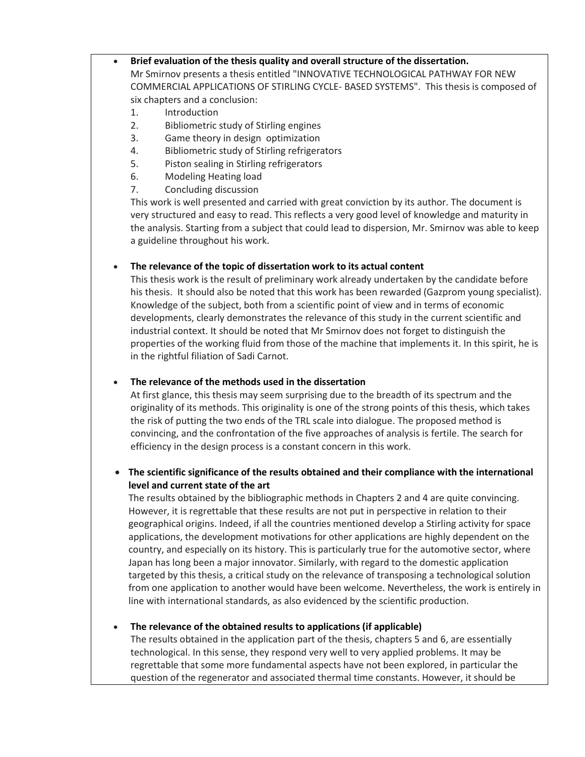# **Brief evaluation of the thesis quality and overall structure of the dissertation.**

Mr Smirnov presents a thesis entitled "INNOVATIVE TECHNOLOGICAL PATHWAY FOR NEW COMMERCIAL APPLICATIONS OF STIRLING CYCLE- BASED SYSTEMS". This thesis is composed of six chapters and a conclusion:

- 1. Introduction
- 2. Bibliometric study of Stirling engines
- 3. Game theory in design optimization
- 4. Bibliometric study of Stirling refrigerators
- 5. Piston sealing in Stirling refrigerators
- 6. Modeling Heating load
- 7. Concluding discussion

This work is well presented and carried with great conviction by its author. The document is very structured and easy to read. This reflects a very good level of knowledge and maturity in the analysis. Starting from a subject that could lead to dispersion, Mr. Smirnov was able to keep a guideline throughout his work.

# **The relevance of the topic of dissertation work to its actual content**

This thesis work is the result of preliminary work already undertaken by the candidate before his thesis. It should also be noted that this work has been rewarded (Gazprom young specialist). Knowledge of the subject, both from a scientific point of view and in terms of economic developments, clearly demonstrates the relevance of this study in the current scientific and industrial context. It should be noted that Mr Smirnov does not forget to distinguish the properties of the working fluid from those of the machine that implements it. In this spirit, he is in the rightful filiation of Sadi Carnot.

# **The relevance of the methods used in the dissertation**

At first glance, this thesis may seem surprising due to the breadth of its spectrum and the originality of its methods. This originality is one of the strong points of this thesis, which takes the risk of putting the two ends of the TRL scale into dialogue. The proposed method is convincing, and the confrontation of the five approaches of analysis is fertile. The search for efficiency in the design process is a constant concern in this work.

# **The scientific significance of the results obtained and their compliance with the international level and current state of the art**

The results obtained by the bibliographic methods in Chapters 2 and 4 are quite convincing. However, it is regrettable that these results are not put in perspective in relation to their geographical origins. Indeed, if all the countries mentioned develop a Stirling activity for space applications, the development motivations for other applications are highly dependent on the country, and especially on its history. This is particularly true for the automotive sector, where Japan has long been a major innovator. Similarly, with regard to the domestic application targeted by this thesis, a critical study on the relevance of transposing a technological solution from one application to another would have been welcome. Nevertheless, the work is entirely in line with international standards, as also evidenced by the scientific production.

# **The relevance of the obtained results to applications (if applicable)**

The results obtained in the application part of the thesis, chapters 5 and 6, are essentially technological. In this sense, they respond very well to very applied problems. It may be regrettable that some more fundamental aspects have not been explored, in particular the question of the regenerator and associated thermal time constants. However, it should be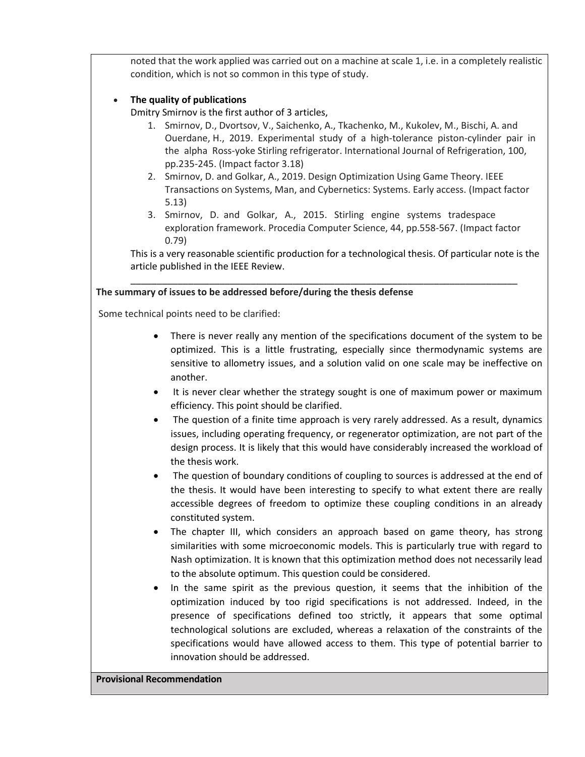noted that the work applied was carried out on a machine at scale 1, i.e. in a completely realistic condition, which is not so common in this type of study.

### **The quality of publications**

Dmitry Smirnov is the first author of 3 articles,

- 1. Smirnov, D., Dvortsov, V., Saichenko, A., Tkachenko, M., Kukolev, M., Bischi, A. and Ouerdane, H., 2019. Experimental study of a high-tolerance piston-cylinder pair in the alpha Ross-yoke Stirling refrigerator. International Journal of Refrigeration, 100, pp.235-245. (Impact factor 3.18)
- 2. Smirnov, D. and Golkar, A., 2019. Design Optimization Using Game Theory. IEEE Transactions on Systems, Man, and Cybernetics: Systems. Early access. (Impact factor 5.13)
- 3. Smirnov, D. and Golkar, A., 2015. Stirling engine systems tradespace exploration framework. Procedia Computer Science, 44, pp.558-567. (Impact factor 0.79)

This is a very reasonable scientific production for a technological thesis. Of particular note is the article published in the IEEE Review.

\_\_\_\_\_\_\_\_\_\_\_\_\_\_\_\_\_\_\_\_\_\_\_\_\_\_\_\_\_\_\_\_\_\_\_\_\_\_\_\_\_\_\_\_\_\_\_\_\_\_\_\_\_\_\_\_\_\_\_\_\_\_\_\_\_\_\_\_\_\_\_\_\_\_

### **The summary of issues to be addressed before/during the thesis defense**

Some technical points need to be clarified:

- There is never really any mention of the specifications document of the system to be optimized. This is a little frustrating, especially since thermodynamic systems are sensitive to allometry issues, and a solution valid on one scale may be ineffective on another.
- It is never clear whether the strategy sought is one of maximum power or maximum efficiency. This point should be clarified.
- The question of a finite time approach is very rarely addressed. As a result, dynamics issues, including operating frequency, or regenerator optimization, are not part of the design process. It is likely that this would have considerably increased the workload of the thesis work.
- The question of boundary conditions of coupling to sources is addressed at the end of the thesis. It would have been interesting to specify to what extent there are really accessible degrees of freedom to optimize these coupling conditions in an already constituted system.
- The chapter III, which considers an approach based on game theory, has strong similarities with some microeconomic models. This is particularly true with regard to Nash optimization. It is known that this optimization method does not necessarily lead to the absolute optimum. This question could be considered.
- In the same spirit as the previous question, it seems that the inhibition of the optimization induced by too rigid specifications is not addressed. Indeed, in the presence of specifications defined too strictly, it appears that some optimal technological solutions are excluded, whereas a relaxation of the constraints of the specifications would have allowed access to them. This type of potential barrier to innovation should be addressed.

### **Provisional Recommendation**